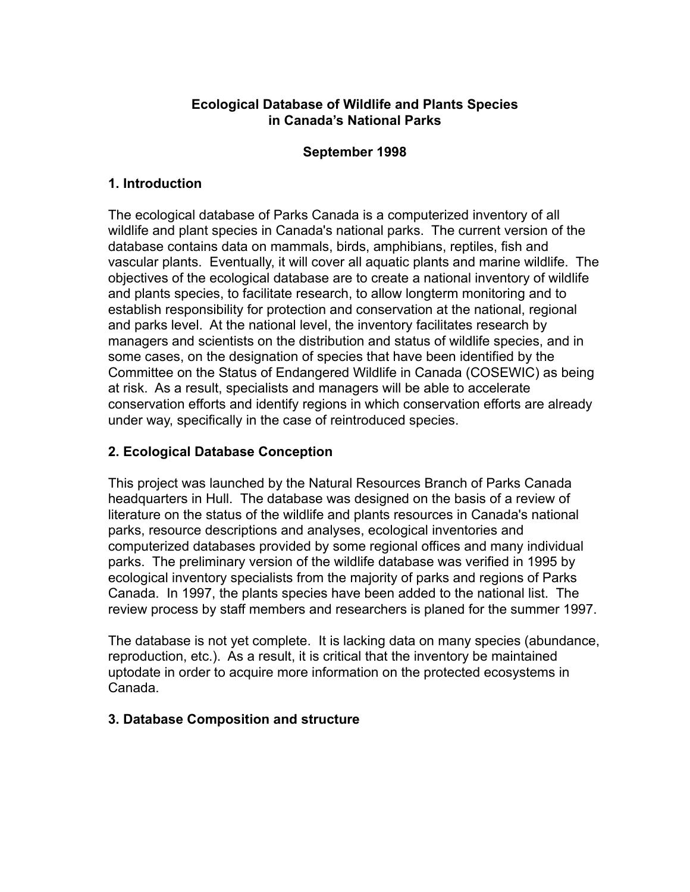### **Ecological Database of Wildlife and Plants Species in Canada's National Parks**

#### **September 1998**

#### **1. Introduction**

The ecological database of Parks Canada is a computerized inventory of all wildlife and plant species in Canada's national parks. The current version of the database contains data on mammals, birds, amphibians, reptiles, fish and vascular plants. Eventually, it will cover all aquatic plants and marine wildlife. The objectives of the ecological database are to create a national inventory of wildlife and plants species, to facilitate research, to allow longterm monitoring and to establish responsibility for protection and conservation at the national, regional and parks level. At the national level, the inventory facilitates research by managers and scientists on the distribution and status of wildlife species, and in some cases, on the designation of species that have been identified by the Committee on the Status of Endangered Wildlife in Canada (COSEWIC) as being at risk. As a result, specialists and managers will be able to accelerate conservation efforts and identify regions in which conservation efforts are already under way, specifically in the case of reintroduced species.

# **2. Ecological Database Conception**

This project was launched by the Natural Resources Branch of Parks Canada headquarters in Hull. The database was designed on the basis of a review of literature on the status of the wildlife and plants resources in Canada's national parks, resource descriptions and analyses, ecological inventories and computerized databases provided by some regional offices and many individual parks. The preliminary version of the wildlife database was verified in 1995 by ecological inventory specialists from the majority of parks and regions of Parks Canada. In 1997, the plants species have been added to the national list. The review process by staff members and researchers is planed for the summer 1997.

The database is not yet complete. It is lacking data on many species (abundance, reproduction, etc.). As a result, it is critical that the inventory be maintained uptodate in order to acquire more information on the protected ecosystems in Canada.

#### **3. Database Composition and structure**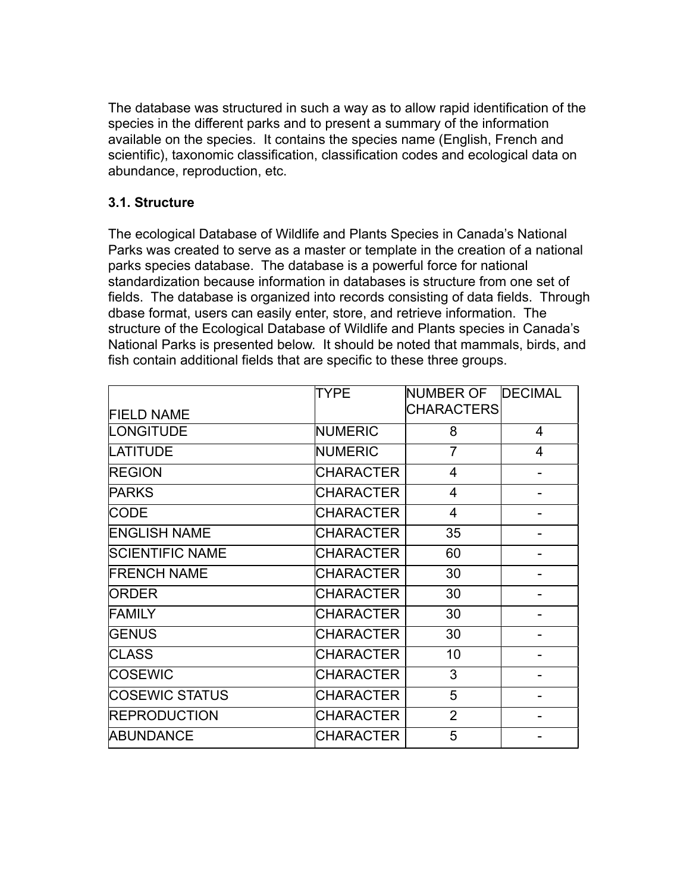The database was structured in such a way as to allow rapid identification of the species in the different parks and to present a summary of the information available on the species. It contains the species name (English, French and scientific), taxonomic classification, classification codes and ecological data on abundance, reproduction, etc.

### **3.1. Structure**

The ecological Database of Wildlife and Plants Species in Canada's National Parks was created to serve as a master or template in the creation of a national parks species database. The database is a powerful force for national standardization because information in databases is structure from one set of fields. The database is organized into records consisting of data fields. Through dbase format, users can easily enter, store, and retrieve information. The structure of the Ecological Database of Wildlife and Plants species in Canada's National Parks is presented below. It should be noted that mammals, birds, and fish contain additional fields that are specific to these three groups.

|                        | <b>TYPE</b>      | NUMBER OF         | <b>DECIMAL</b> |
|------------------------|------------------|-------------------|----------------|
| <b>FIELD NAME</b>      |                  | <b>CHARACTERS</b> |                |
| LONGITUDE              | <b>NUMERIC</b>   | 8                 | 4              |
| <b>LATITUDE</b>        | <b>NUMERIC</b>   | $\overline{7}$    | $\overline{4}$ |
| <b>REGION</b>          | <b>CHARACTER</b> | $\overline{4}$    |                |
| <b>PARKS</b>           | <b>CHARACTER</b> | $\overline{4}$    |                |
| <b>CODE</b>            | <b>CHARACTER</b> | $\overline{4}$    |                |
| <b>ENGLISH NAME</b>    | <b>CHARACTER</b> | 35                |                |
| <b>SCIENTIFIC NAME</b> | <b>CHARACTER</b> | 60                |                |
| <b>FRENCH NAME</b>     | <b>CHARACTER</b> | 30                |                |
| <b>ORDER</b>           | <b>CHARACTER</b> | 30                |                |
| <b>FAMILY</b>          | <b>CHARACTER</b> | 30                |                |
| <b>GENUS</b>           | <b>CHARACTER</b> | 30                |                |
| <b>CLASS</b>           | <b>CHARACTER</b> | 10 <sup>1</sup>   |                |
| <b>COSEWIC</b>         | <b>CHARACTER</b> | 3                 |                |
| <b>COSEWIC STATUS</b>  | <b>CHARACTER</b> | 5                 |                |
| <b>REPRODUCTION</b>    | <b>CHARACTER</b> | $\overline{2}$    |                |
| <b>ABUNDANCE</b>       | <b>CHARACTER</b> | 5                 |                |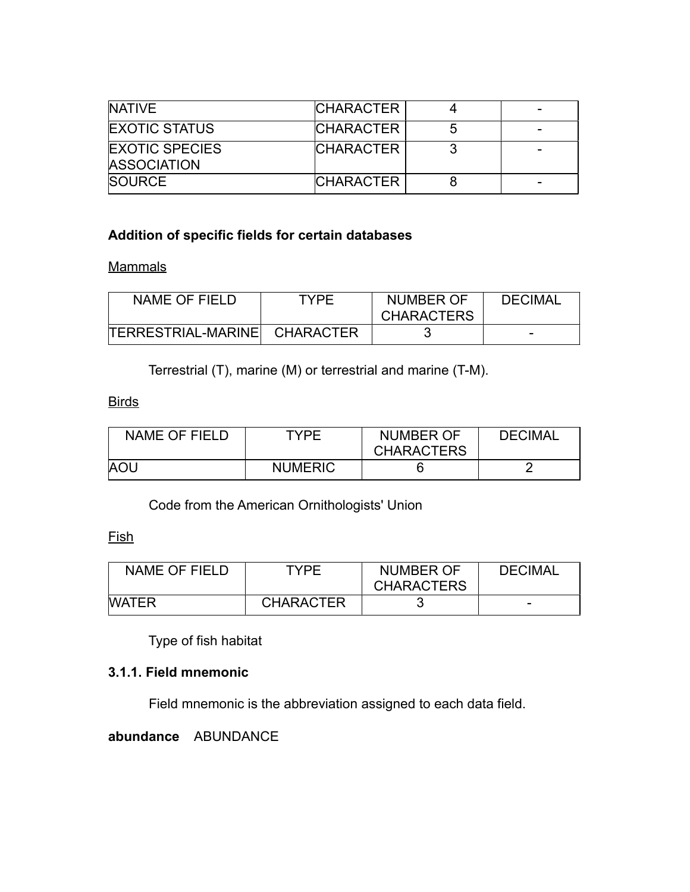| <b>NATIVE</b>                               | <b>CHARACTER</b> | - |
|---------------------------------------------|------------------|---|
| <b>EXOTIC STATUS</b>                        | <b>CHARACTER</b> |   |
| <b>EXOTIC SPECIES</b><br><b>ASSOCIATION</b> | <b>CHARACTER</b> |   |
| <b>SOURCE</b>                               | <b>CHARACTER</b> | - |

# **Addition of specific fields for certain databases**

#### **Mammals**

| NAME OF FIELD                | TYPF | NUMBER OF         | <b>DECIMAL</b> |
|------------------------------|------|-------------------|----------------|
|                              |      | <b>CHARACTERS</b> |                |
| TERRESTRIAL-MARINE CHARACTER |      |                   |                |

Terrestrial (T), marine (M) or terrestrial and marine (T-M).

#### **Birds**

| NAME OF FIELD | TYPF           | <b>NUMBER OF</b><br><b>CHARACTERS</b> | <b>DECIMAL</b> |
|---------------|----------------|---------------------------------------|----------------|
| <b>AOU</b>    | <b>NUMERIC</b> |                                       |                |

Code from the American Ornithologists' Union

#### Fish

| <b>NAME OF FIELD</b> | TYPF.            | <b>NUMBER OF</b>  | <b>DECIMAL</b> |
|----------------------|------------------|-------------------|----------------|
|                      |                  | <b>CHARACTERS</b> |                |
| <b>WATER</b>         | <b>CHARACTER</b> |                   |                |

Type of fish habitat

# **3.1.1. Field mnemonic**

Field mnemonic is the abbreviation assigned to each data field.

**abundance** ABUNDANCE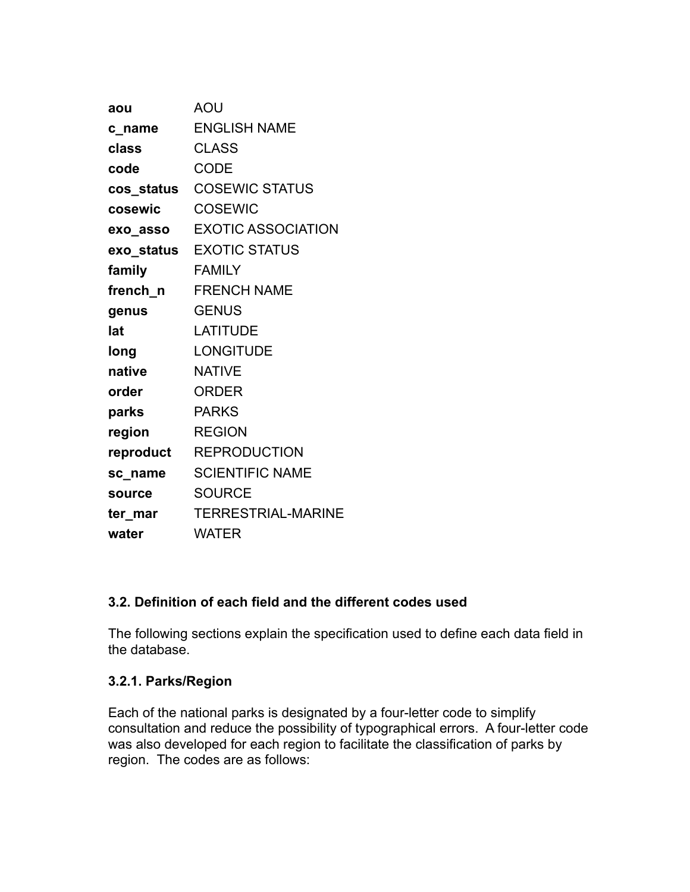| aou           | <b>AOU</b>                  |
|---------------|-----------------------------|
| c_name        | <b>ENGLISH NAME</b>         |
| class         | <b>CLASS</b>                |
| code          | <b>CODE</b>                 |
|               | cos_status  COSEWIC STATUS  |
| cosewic       | COSEWIC                     |
|               | exo_asso EXOTIC ASSOCIATION |
|               | exo_status EXOTIC STATUS    |
| family        | <b>FAMILY</b>               |
|               | french_n FRENCH NAME        |
| genus         | <b>GENUS</b>                |
| lat           | <b>LATITUDE</b>             |
| long          | <b>LONGITUDE</b>            |
| native        | <b>NATIVE</b>               |
| order         | <b>ORDER</b>                |
| parks         | <b>PARKS</b>                |
| region        | <b>REGION</b>               |
|               | reproduct REPRODUCTION      |
| sc name       | <b>SCIENTIFIC NAME</b>      |
| <b>source</b> | <b>SOURCE</b>               |
| ter mar       | <b>TERRESTRIAL-MARINE</b>   |
| water         | <b>WATER</b>                |

# **3.2. Definition of each field and the different codes used**

The following sections explain the specification used to define each data field in the database.

# **3.2.1. Parks/Region**

Each of the national parks is designated by a four-letter code to simplify consultation and reduce the possibility of typographical errors. A four-letter code was also developed for each region to facilitate the classification of parks by region. The codes are as follows: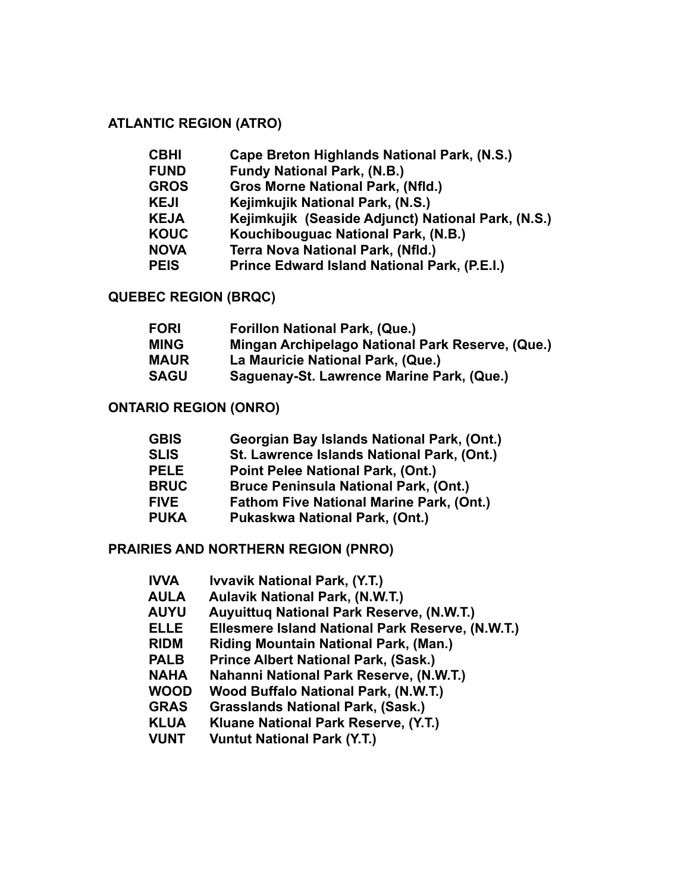# **ATLANTIC REGION (ATRO)**

| <b>CBHI</b> | Cape Breton Highlands National Park, (N.S.)        |
|-------------|----------------------------------------------------|
| <b>FUND</b> | <b>Fundy National Park, (N.B.)</b>                 |
| <b>GROS</b> | <b>Gros Morne National Park, (Nfld.)</b>           |
| <b>KEJI</b> | Kejimkujik National Park, (N.S.)                   |
| <b>KEJA</b> | Kejimkujik (Seaside Adjunct) National Park, (N.S.) |
| <b>KOUC</b> | Kouchibouguac National Park, (N.B.)                |
| <b>NOVA</b> | <b>Terra Nova National Park, (Nfld.)</b>           |
| <b>PEIS</b> | Prince Edward Island National Park, (P.E.I.)       |
|             |                                                    |

# **QUEBEC REGION (BRQC)**

| <b>FORI</b> | <b>Forillon National Park, (Que.)</b>            |
|-------------|--------------------------------------------------|
| <b>MING</b> | Mingan Archipelago National Park Reserve, (Que.) |
| <b>MAUR</b> | La Mauricie National Park, (Que.)                |
| <b>SAGU</b> | Saguenay-St. Lawrence Marine Park, (Que.)        |

### **ONTARIO REGION (ONRO)**

| <b>GBIS</b> | Georgian Bay Islands National Park, (Ont.)      |
|-------------|-------------------------------------------------|
| <b>SLIS</b> | St. Lawrence Islands National Park, (Ont.)      |
| <b>PELE</b> | Point Pelee National Park, (Ont.)               |
| <b>BRUC</b> | <b>Bruce Peninsula National Park, (Ont.)</b>    |
| <b>FIVE</b> | <b>Fathom Five National Marine Park, (Ont.)</b> |
| <b>PUKA</b> | Pukaskwa National Park, (Ont.)                  |
|             |                                                 |

#### **PRAIRIES AND NORTHERN REGION (PNRO)**

| <b>IVVA</b> | <b>Ivvavik National Park, (Y.T.)</b>             |
|-------------|--------------------------------------------------|
| <b>AULA</b> | <b>Aulavik National Park, (N.W.T.)</b>           |
| <b>AUYU</b> | Auyuittuq National Park Reserve, (N.W.T.)        |
| <b>ELLE</b> | Ellesmere Island National Park Reserve, (N.W.T.) |
| <b>RIDM</b> | <b>Riding Mountain National Park, (Man.)</b>     |
| <b>PALB</b> | <b>Prince Albert National Park, (Sask.)</b>      |
| <b>NAHA</b> | Nahanni National Park Reserve, (N.W.T.)          |
| <b>WOOD</b> | Wood Buffalo National Park, (N.W.T.)             |
| <b>GRAS</b> | <b>Grasslands National Park, (Sask.)</b>         |
| <b>KLUA</b> | Kluane National Park Reserve, (Y.T.)             |
| <b>VUNT</b> | <b>Vuntut National Park (Y.T.)</b>               |
|             |                                                  |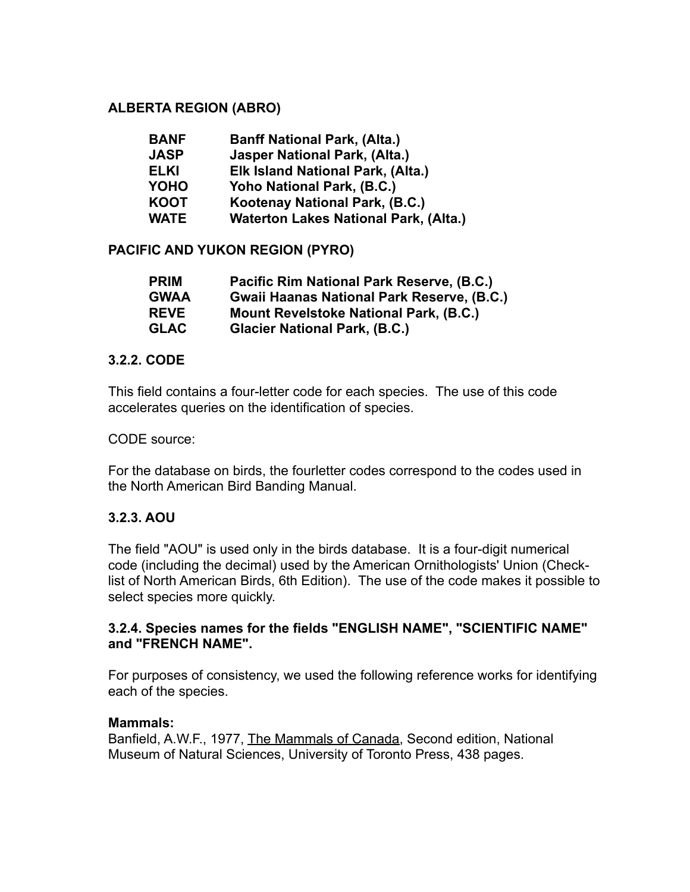### **ALBERTA REGION (ABRO)**

| <b>BANF</b> | <b>Banff National Park, (Alta.)</b>          |
|-------------|----------------------------------------------|
| <b>JASP</b> | <b>Jasper National Park, (Alta.)</b>         |
| <b>ELKI</b> | Elk Island National Park, (Alta.)            |
| <b>YOHO</b> | Yoho National Park, (B.C.)                   |
| <b>KOOT</b> | Kootenay National Park, (B.C.)               |
| <b>WATE</b> | <b>Waterton Lakes National Park, (Alta.)</b> |

# **PACIFIC AND YUKON REGION (PYRO)**

| <b>PRIM</b> | Pacific Rim National Park Reserve, (B.C.)         |
|-------------|---------------------------------------------------|
| <b>GWAA</b> | <b>Gwaii Haanas National Park Reserve, (B.C.)</b> |
| <b>REVE</b> | <b>Mount Revelstoke National Park, (B.C.)</b>     |
| <b>GLAC</b> | <b>Glacier National Park, (B.C.)</b>              |

#### **3.2.2. CODE**

This field contains a four-letter code for each species. The use of this code accelerates queries on the identification of species.

#### CODE source:

For the database on birds, the fourletter codes correspond to the codes used in the North American Bird Banding Manual.

#### **3.2.3. AOU**

The field "AOU" is used only in the birds database. It is a four-digit numerical code (including the decimal) used by the American Ornithologists' Union (Checklist of North American Birds, 6th Edition). The use of the code makes it possible to select species more quickly.

#### **3.2.4. Species names for the fields "ENGLISH NAME", "SCIENTIFIC NAME" and "FRENCH NAME".**

For purposes of consistency, we used the following reference works for identifying each of the species.

#### **Mammals:**

Banfield, A.W.F., 1977, The Mammals of Canada, Second edition, National Museum of Natural Sciences, University of Toronto Press, 438 pages.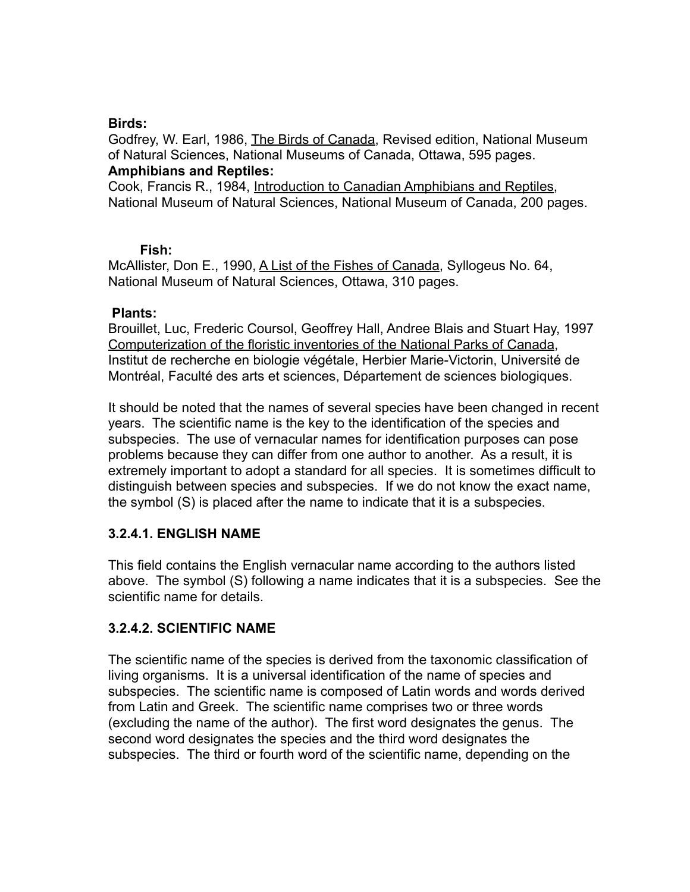#### **Birds:**

Godfrey, W. Earl, 1986, The Birds of Canada, Revised edition, National Museum of Natural Sciences, National Museums of Canada, Ottawa, 595 pages. **Amphibians and Reptiles:**

Cook, Francis R., 1984, Introduction to Canadian Amphibians and Reptiles, National Museum of Natural Sciences, National Museum of Canada, 200 pages.

#### **Fish:**

McAllister, Don E., 1990, A List of the Fishes of Canada, Syllogeus No. 64, National Museum of Natural Sciences, Ottawa, 310 pages.

#### **Plants:**

Brouillet, Luc, Frederic Coursol, Geoffrey Hall, Andree Blais and Stuart Hay, 1997 Computerization of the floristic inventories of the National Parks of Canada, Institut de recherche en biologie végétale, Herbier Marie-Victorin, Université de Montréal, Faculté des arts et sciences, Département de sciences biologiques.

It should be noted that the names of several species have been changed in recent years. The scientific name is the key to the identification of the species and subspecies. The use of vernacular names for identification purposes can pose problems because they can differ from one author to another. As a result, it is extremely important to adopt a standard for all species. It is sometimes difficult to distinguish between species and subspecies. If we do not know the exact name, the symbol (S) is placed after the name to indicate that it is a subspecies.

# **3.2.4.1. ENGLISH NAME**

This field contains the English vernacular name according to the authors listed above. The symbol (S) following a name indicates that it is a subspecies. See the scientific name for details.

# **3.2.4.2. SCIENTIFIC NAME**

The scientific name of the species is derived from the taxonomic classification of living organisms. It is a universal identification of the name of species and subspecies. The scientific name is composed of Latin words and words derived from Latin and Greek. The scientific name comprises two or three words (excluding the name of the author). The first word designates the genus. The second word designates the species and the third word designates the subspecies. The third or fourth word of the scientific name, depending on the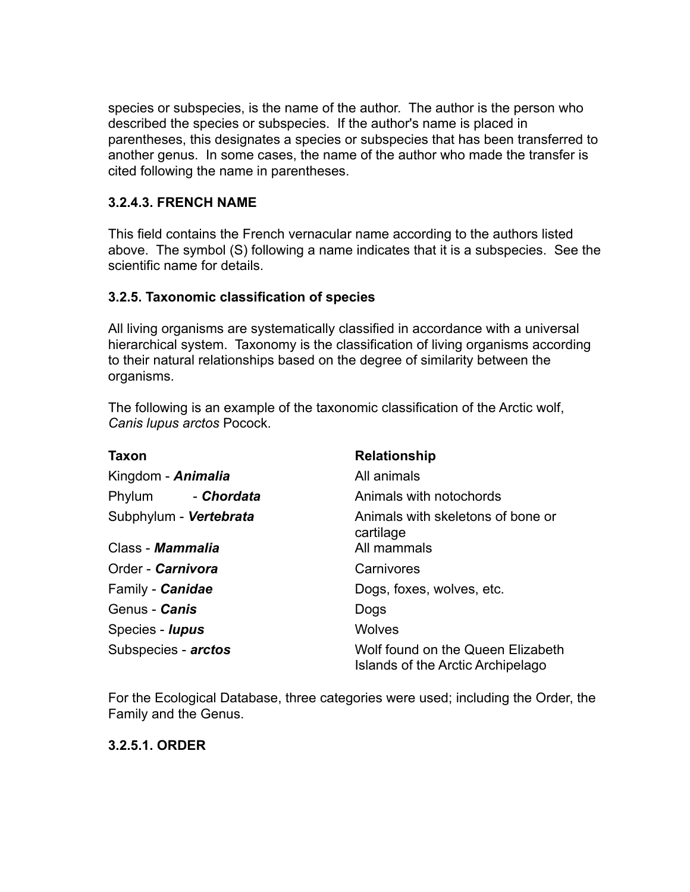species or subspecies, is the name of the author. The author is the person who described the species or subspecies. If the author's name is placed in parentheses, this designates a species or subspecies that has been transferred to another genus. In some cases, the name of the author who made the transfer is cited following the name in parentheses.

# **3.2.4.3. FRENCH NAME**

This field contains the French vernacular name according to the authors listed above. The symbol (S) following a name indicates that it is a subspecies. See the scientific name for details.

# **3.2.5. Taxonomic classification of species**

All living organisms are systematically classified in accordance with a universal hierarchical system. Taxonomy is the classification of living organisms according to their natural relationships based on the degree of similarity between the organisms.

The following is an example of the taxonomic classification of the Arctic wolf, *Canis lupus arctos* Pocock.

| <b>Taxon</b>           | <b>Relationship</b>                                                    |  |
|------------------------|------------------------------------------------------------------------|--|
| Kingdom - Animalia     | All animals                                                            |  |
| Phylum - Chordata      | Animals with notochords                                                |  |
| Subphylum - Vertebrata | Animals with skeletons of bone or<br>cartilage                         |  |
| Class - Mammalia       | All mammals                                                            |  |
| Order - Carnivora      | Carnivores                                                             |  |
| Family - Canidae       | Dogs, foxes, wolves, etc.                                              |  |
| Genus - Canis          | Dogs                                                                   |  |
| Species - <i>lupus</i> | <b>Wolves</b>                                                          |  |
| Subspecies - arctos    | Wolf found on the Queen Elizabeth<br>Islands of the Arctic Archipelago |  |

For the Ecological Database, three categories were used; including the Order, the Family and the Genus.

# **3.2.5.1. ORDER**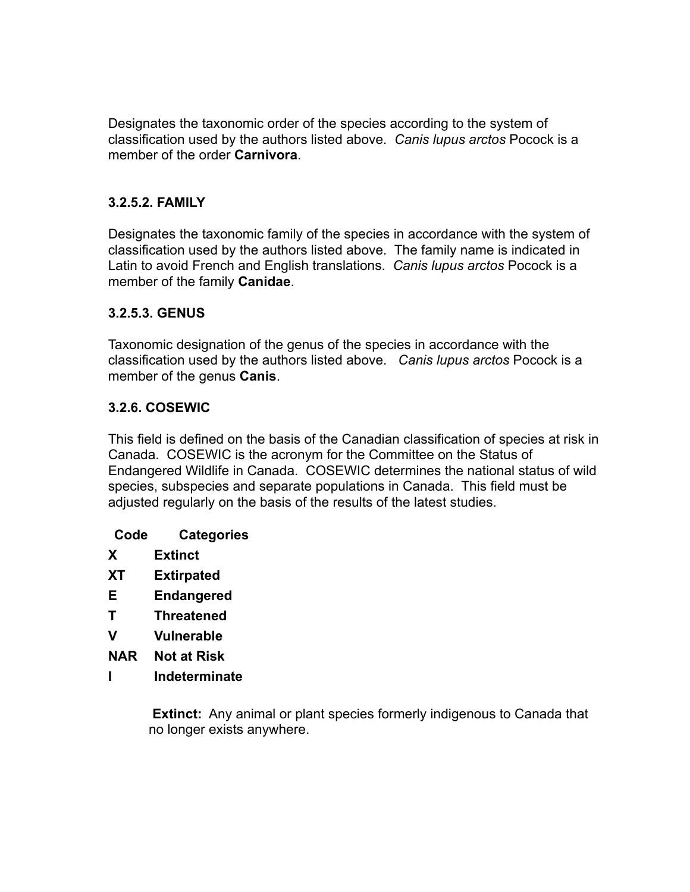Designates the taxonomic order of the species according to the system of classification used by the authors listed above. *Canis lupus arctos* Pocock is a member of the order **Carnivora**.

# **3.2.5.2. FAMILY**

Designates the taxonomic family of the species in accordance with the system of classification used by the authors listed above. The family name is indicated in Latin to avoid French and English translations. *Canis lupus arctos* Pocock is a member of the family **Canidae**.

# **3.2.5.3. GENUS**

Taxonomic designation of the genus of the species in accordance with the classification used by the authors listed above. *Canis lupus arctos* Pocock is a member of the genus **Canis**.

# **3.2.6. COSEWIC**

This field is defined on the basis of the Canadian classification of species at risk in Canada. COSEWIC is the acronym for the Committee on the Status of Endangered Wildlife in Canada. COSEWIC determines the national status of wild species, subspecies and separate populations in Canada. This field must be adjusted regularly on the basis of the results of the latest studies.

- **Code Categories**
- **X Extinct**
- **XT Extirpated**
- **E Endangered**
- **T Threatened**
- **V Vulnerable**
- **NAR Not at Risk**
- **I Indeterminate**

 **Extinct:** Any animal or plant species formerly indigenous to Canada that no longer exists anywhere.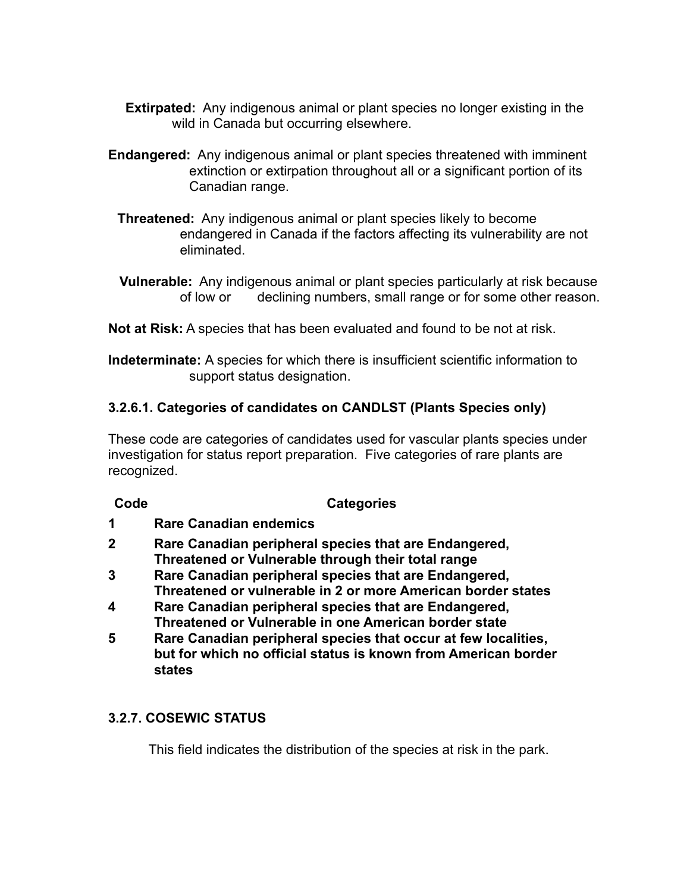- **Extirpated:** Any indigenous animal or plant species no longer existing in the wild in Canada but occurring elsewhere.
- **Endangered:** Any indigenous animal or plant species threatened with imminent extinction or extirpation throughout all or a significant portion of its Canadian range.
	- **Threatened:** Any indigenous animal or plant species likely to become endangered in Canada if the factors affecting its vulnerability are not eliminated.
	- **Vulnerable:** Any indigenous animal or plant species particularly at risk because of low or declining numbers, small range or for some other reason.

**Not at Risk:** A species that has been evaluated and found to be not at risk.

**Indeterminate:** A species for which there is insufficient scientific information to support status designation.

# **3.2.6.1. Categories of candidates on CANDLST (Plants Species only)**

These code are categories of candidates used for vascular plants species under investigation for status report preparation. Five categories of rare plants are recognized.

#### **Code Categories**

- **1 Rare Canadian endemics**
- **2 Rare Canadian peripheral species that are Endangered, Threatened or Vulnerable through their total range**
- **3 Rare Canadian peripheral species that are Endangered, Threatened or vulnerable in 2 or more American border states**
- **4 Rare Canadian peripheral species that are Endangered, Threatened or Vulnerable in one American border state**
- **5 Rare Canadian peripheral species that occur at few localities, but for which no official status is known from American border states**

# **3.2.7. COSEWIC STATUS**

This field indicates the distribution of the species at risk in the park.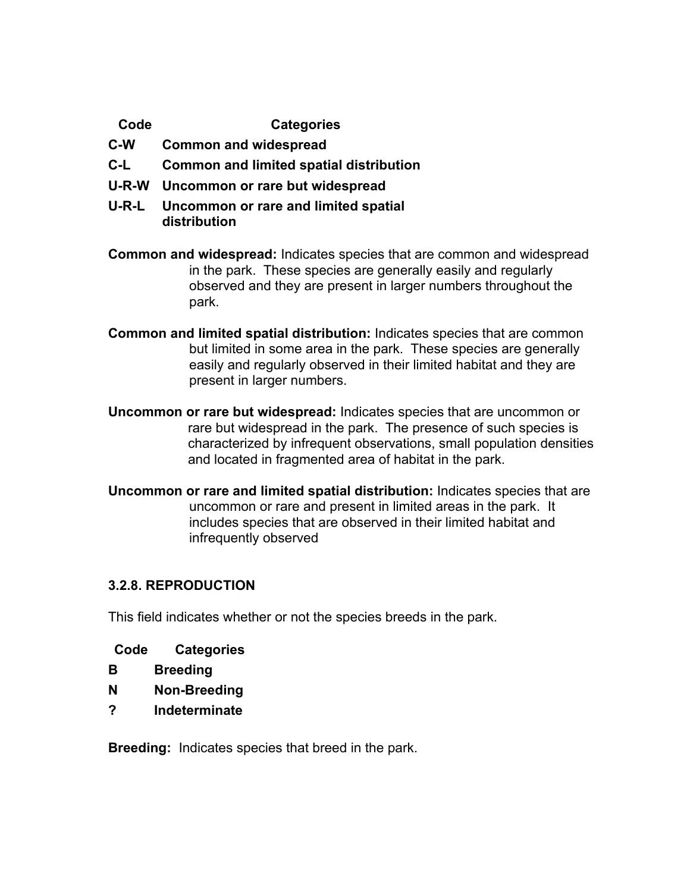**Code Categories**

- **C-W Common and widespread**
- **C-L Common and limited spatial distribution**
- **U-R-W Uncommon or rare but widespread**
- **U-R-L Uncommon or rare and limited spatial distribution**
- **Common and widespread:** Indicates species that are common and widespread in the park. These species are generally easily and regularly observed and they are present in larger numbers throughout the park.
- **Common and limited spatial distribution:** Indicates species that are common but limited in some area in the park. These species are generally easily and regularly observed in their limited habitat and they are present in larger numbers.
- **Uncommon or rare but widespread:** Indicates species that are uncommon or rare but widespread in the park. The presence of such species is characterized by infrequent observations, small population densities and located in fragmented area of habitat in the park.
- **Uncommon or rare and limited spatial distribution:** Indicates species that are uncommon or rare and present in limited areas in the park. It includes species that are observed in their limited habitat and infrequently observed

# **3.2.8. REPRODUCTION**

This field indicates whether or not the species breeds in the park.

| Code | <b>Categories</b> |
|------|-------------------|
|------|-------------------|

- **B Breeding**
- **N Non-Breeding**
- **? Indeterminate**

**Breeding:** Indicates species that breed in the park.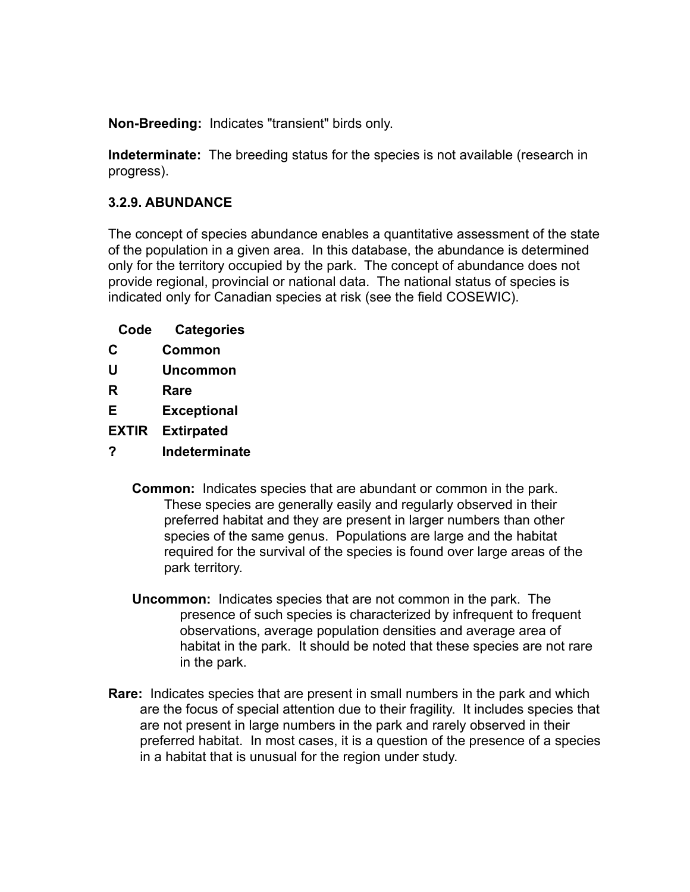**Non-Breeding:** Indicates "transient" birds only.

**Indeterminate:** The breeding status for the species is not available (research in progress).

# **3.2.9. ABUNDANCE**

The concept of species abundance enables a quantitative assessment of the state of the population in a given area. In this database, the abundance is determined only for the territory occupied by the park. The concept of abundance does not provide regional, provincial or national data. The national status of species is indicated only for Canadian species at risk (see the field COSEWIC).

| Code | <b>Categories</b> |
|------|-------------------|
| C    | <b>Common</b>     |
| U    | <b>Uncommon</b>   |
|      |                   |

- **R Rare**
- **E Exceptional**
- **EXTIR Extirpated**
- **? Indeterminate**
	- **Common:** Indicates species that are abundant or common in the park. These species are generally easily and regularly observed in their preferred habitat and they are present in larger numbers than other species of the same genus. Populations are large and the habitat required for the survival of the species is found over large areas of the park territory.
	- **Uncommon:** Indicates species that are not common in the park. The presence of such species is characterized by infrequent to frequent observations, average population densities and average area of habitat in the park. It should be noted that these species are not rare in the park.
- **Rare:** Indicates species that are present in small numbers in the park and which are the focus of special attention due to their fragility. It includes species that are not present in large numbers in the park and rarely observed in their preferred habitat. In most cases, it is a question of the presence of a species in a habitat that is unusual for the region under study.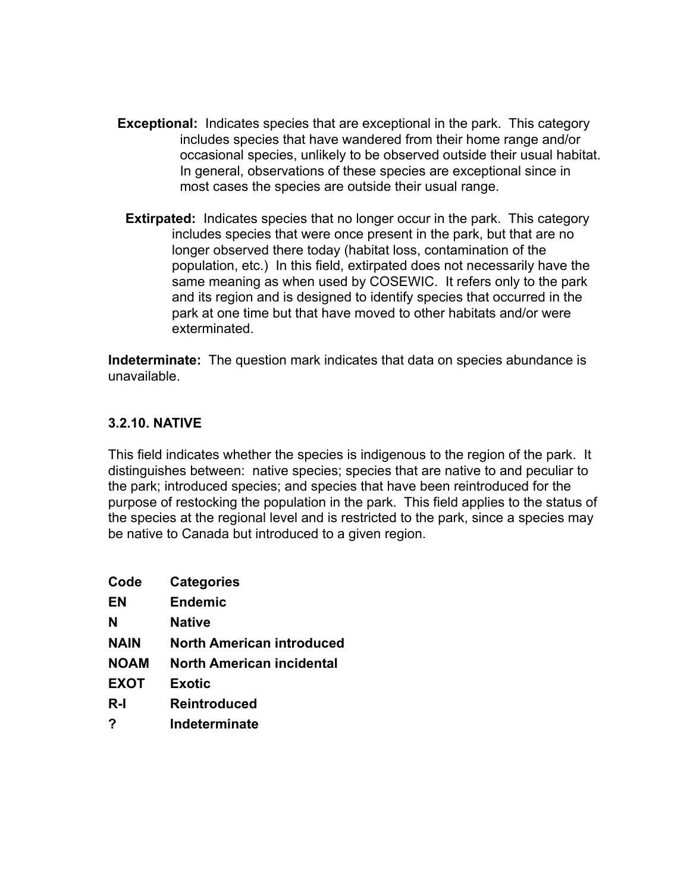- **Exceptional:** Indicates species that are exceptional in the park. This category includes species that have wandered from their home range and/or occasional species, unlikely to be observed outside their usual habitat. In general, observations of these species are exceptional since in most cases the species are outside their usual range.
	- **Extirpated:** Indicates species that no longer occur in the park. This category includes species that were once present in the park, but that are no longer observed there today (habitat loss, contamination of the population, etc.) In this field, extirpated does not necessarily have the same meaning as when used by COSEWIC. It refers only to the park and its region and is designed to identify species that occurred in the park at one time but that have moved to other habitats and/or were exterminated.

**Indeterminate:** The question mark indicates that data on species abundance is unavailable.

#### **3.2.10. NATIVE**

This field indicates whether the species is indigenous to the region of the park. It distinguishes between: native species; species that are native to and peculiar to the park; introduced species; and species that have been reintroduced for the purpose of restocking the population in the park. This field applies to the status of the species at the regional level and is restricted to the park, since a species may be native to Canada but introduced to a given region.

| Code        | <b>Categories</b>                |
|-------------|----------------------------------|
| EN          | <b>Endemic</b>                   |
| N           | Native                           |
| <b>NAIN</b> | <b>North American introduced</b> |
| <b>NOAM</b> | North American incidental        |
| <b>EXOT</b> | <b>Exotic</b>                    |
| R-I         | Reintroduced                     |
| ?           | Indeterminate                    |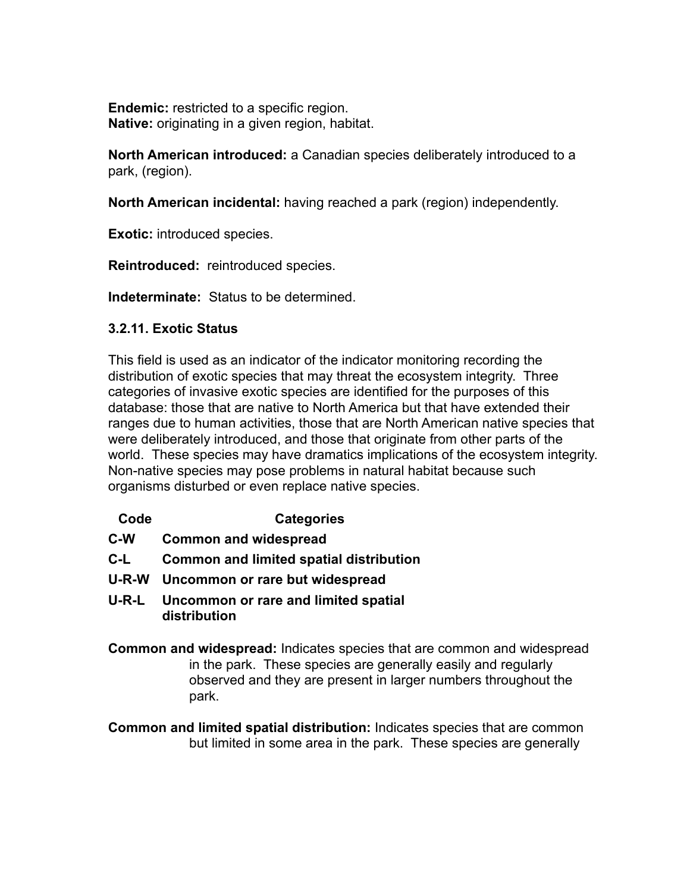**Endemic:** restricted to a specific region. **Native:** originating in a given region, habitat.

**North American introduced:** a Canadian species deliberately introduced to a park, (region).

**North American incidental:** having reached a park (region) independently.

**Exotic:** introduced species.

**Reintroduced:** reintroduced species.

**Indeterminate:** Status to be determined.

#### **3.2.11. Exotic Status**

This field is used as an indicator of the indicator monitoring recording the distribution of exotic species that may threat the ecosystem integrity. Three categories of invasive exotic species are identified for the purposes of this database: those that are native to North America but that have extended their ranges due to human activities, those that are North American native species that were deliberately introduced, and those that originate from other parts of the world.These species may have dramatics implications of the ecosystem integrity. Non-native species may pose problems in natural habitat because such organisms disturbed or even replace native species.

- **Code Categories**
- **C-W Common and widespread**
- **C-L Common and limited spatial distribution**
- **U-R-W Uncommon or rare but widespread**
- **U-R-L Uncommon or rare and limited spatial distribution**
- **Common and widespread:** Indicates species that are common and widespread in the park. These species are generally easily and regularly observed and they are present in larger numbers throughout the park.

**Common and limited spatial distribution:** Indicates species that are common but limited in some area in the park. These species are generally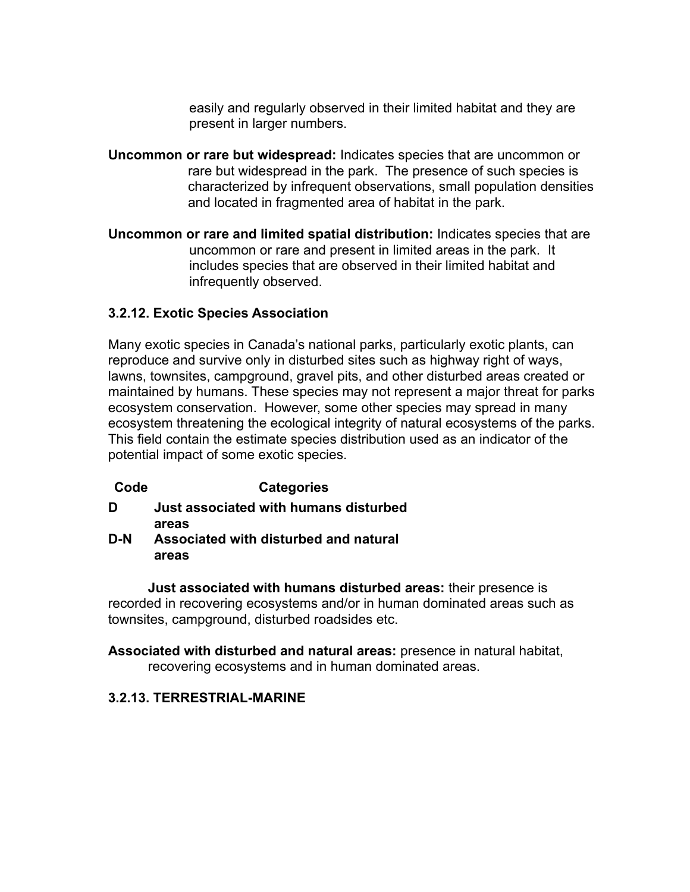easily and regularly observed in their limited habitat and they are present in larger numbers.

- **Uncommon or rare but widespread:** Indicates species that are uncommon or rare but widespread in the park. The presence of such species is characterized by infrequent observations, small population densities and located in fragmented area of habitat in the park.
- **Uncommon or rare and limited spatial distribution:** Indicates species that are uncommon or rare and present in limited areas in the park. It includes species that are observed in their limited habitat and infrequently observed.

# **3.2.12. Exotic Species Association**

Many exotic species in Canada's national parks, particularly exotic plants, can reproduce and survive only in disturbed sites such as highway right of ways, lawns, townsites, campground, gravel pits, and other disturbed areas created or maintained by humans. These species may not represent a major threat for parks ecosystem conservation. However, some other species may spread in many ecosystem threatening the ecological integrity of natural ecosystems of the parks. This field contain the estimate species distribution used as an indicator of the potential impact of some exotic species.

# **Code Categories**

- **D Just associated with humans disturbed areas**
- **D-N Associated with disturbed and natural areas**

 **Just associated with humans disturbed areas:** their presence is recorded in recovering ecosystems and/or in human dominated areas such as townsites, campground, disturbed roadsides etc.

**Associated with disturbed and natural areas:** presence in natural habitat, recovering ecosystems and in human dominated areas.

# **3.2.13. TERRESTRIAL-MARINE**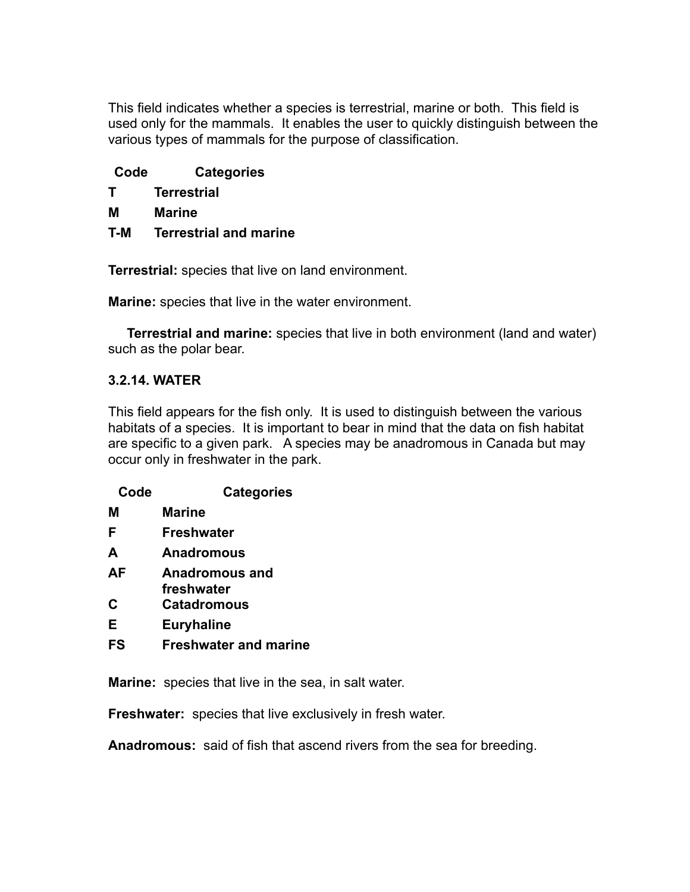This field indicates whether a species is terrestrial, marine or both. This field is used only for the mammals. It enables the user to quickly distinguish between the various types of mammals for the purpose of classification.

| Code | <b>Categories</b> |
|------|-------------------|
|      |                   |

| <b>Terrestrial</b> |
|--------------------|
|                    |

- **M Marine**
- **T-M Terrestrial and marine**

**Terrestrial:** species that live on land environment.

**Marine:** species that live in the water environment.

 **Terrestrial and marine:** species that live in both environment (land and water) such as the polar bear.

# **3.2.14. WATER**

This field appears for the fish only. It is used to distinguish between the various habitats of a species. It is important to bear in mind that the data on fish habitat are specific to a given park. A species may be anadromous in Canada but may occur only in freshwater in the park.

| Code | <b>Categories</b>                   |
|------|-------------------------------------|
| м    | Marine                              |
| F    | Freshwater                          |
| A    | Anadromous                          |
| AF   | <b>Anadromous and</b><br>freshwater |
| C    | <b>Catadromous</b>                  |
| Е    | <b>Euryhaline</b>                   |
| FS   | <b>Freshwater and marine</b>        |

**Marine:** species that live in the sea, in salt water.

**Freshwater:** species that live exclusively in fresh water.

**Anadromous:** said of fish that ascend rivers from the sea for breeding.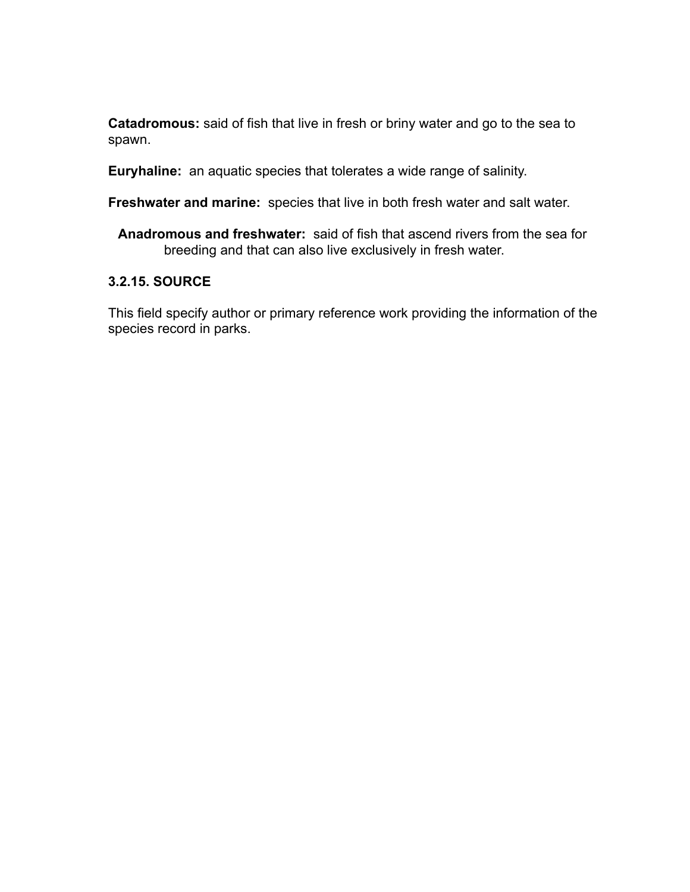**Catadromous:** said of fish that live in fresh or briny water and go to the sea to spawn.

**Euryhaline:** an aquatic species that tolerates a wide range of salinity.

**Freshwater and marine:** species that live in both fresh water and salt water.

**Anadromous and freshwater:** said of fish that ascend rivers from the sea for breeding and that can also live exclusively in fresh water.

#### **3.2.15. SOURCE**

This field specify author or primary reference work providing the information of the species record in parks.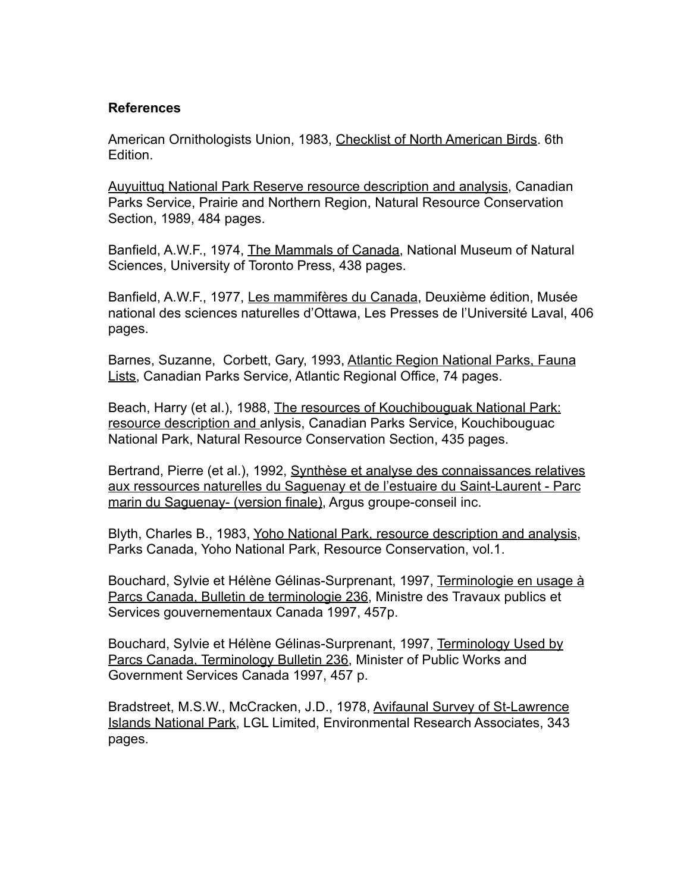#### **References**

American Ornithologists Union, 1983, Checklist of North American Birds. 6th Edition.

Auyuittuq National Park Reserve resource description and analysis, Canadian Parks Service, Prairie and Northern Region, Natural Resource Conservation Section, 1989, 484 pages.

Banfield, A.W.F., 1974, The Mammals of Canada, National Museum of Natural Sciences, University of Toronto Press, 438 pages.

Banfield, A.W.F., 1977, Les mammifères du Canada, Deuxième édition, Musée national des sciences naturelles d'Ottawa, Les Presses de l'Université Laval, 406 pages.

Barnes, Suzanne, Corbett, Gary, 1993, Atlantic Region National Parks, Fauna Lists, Canadian Parks Service, Atlantic Regional Office, 74 pages.

Beach, Harry (et al.), 1988, The resources of Kouchibouguak National Park: resource description and anlysis, Canadian Parks Service, Kouchibouguac National Park, Natural Resource Conservation Section, 435 pages.

Bertrand, Pierre (et al.), 1992, Synthèse et analyse des connaissances relatives aux ressources naturelles du Saguenay et de l'estuaire du Saint-Laurent - Parc marin du Saguenay- (version finale), Argus groupe-conseil inc.

Blyth, Charles B., 1983, Yoho National Park, resource description and analysis, Parks Canada, Yoho National Park, Resource Conservation, vol.1.

Bouchard, Sylvie et Hélène Gélinas-Surprenant, 1997, Terminologie en usage à Parcs Canada, Bulletin de terminologie 236, Ministre des Travaux publics et Services gouvernementaux Canada 1997, 457p.

Bouchard, Sylvie et Hélène Gélinas-Surprenant, 1997, Terminology Used by Parcs Canada, Terminology Bulletin 236, Minister of Public Works and Government Services Canada 1997, 457 p.

Bradstreet, M.S.W., McCracken, J.D., 1978, Avifaunal Survey of St-Lawrence Islands National Park, LGL Limited, Environmental Research Associates, 343 pages.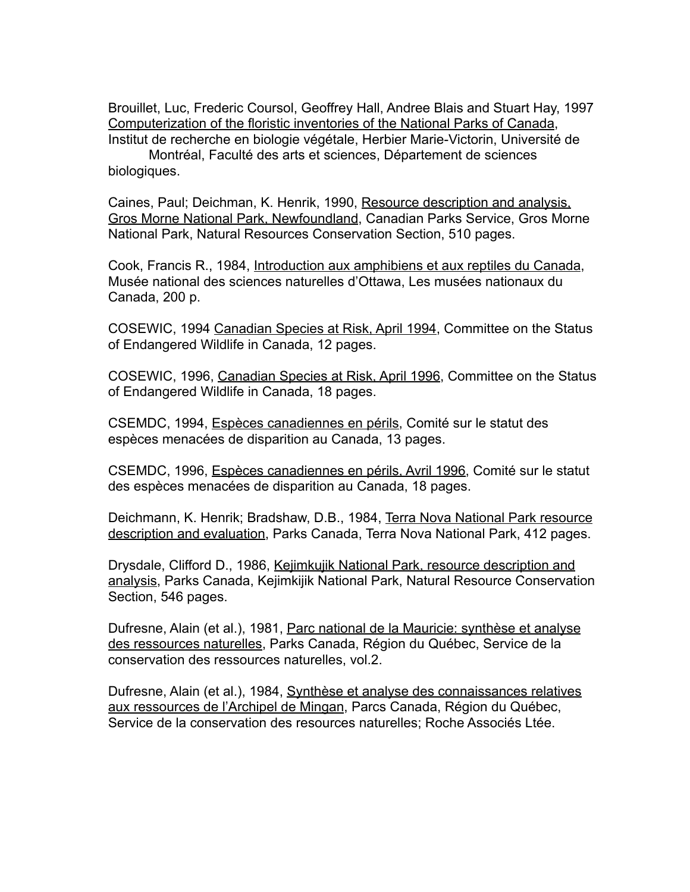Brouillet, Luc, Frederic Coursol, Geoffrey Hall, Andree Blais and Stuart Hay, 1997 Computerization of the floristic inventories of the National Parks of Canada, Institut de recherche en biologie végétale, Herbier Marie-Victorin, Université de

 Montréal, Faculté des arts et sciences, Département de sciences biologiques.

Caines, Paul; Deichman, K. Henrik, 1990, Resource description and analysis, Gros Morne National Park, Newfoundland, Canadian Parks Service, Gros Morne National Park, Natural Resources Conservation Section, 510 pages.

Cook, Francis R., 1984, Introduction aux amphibiens et aux reptiles du Canada, Musée national des sciences naturelles d'Ottawa, Les musées nationaux du Canada, 200 p.

COSEWIC, 1994 Canadian Species at Risk, April 1994, Committee on the Status of Endangered Wildlife in Canada, 12 pages.

COSEWIC, 1996, Canadian Species at Risk, April 1996, Committee on the Status of Endangered Wildlife in Canada, 18 pages.

CSEMDC, 1994, Espèces canadiennes en périls, Comité sur le statut des espèces menacées de disparition au Canada, 13 pages.

CSEMDC, 1996, Espèces canadiennes en périls, Avril 1996, Comité sur le statut des espèces menacées de disparition au Canada, 18 pages.

Deichmann, K. Henrik; Bradshaw, D.B., 1984, Terra Nova National Park resource description and evaluation, Parks Canada, Terra Nova National Park, 412 pages.

Drysdale, Clifford D., 1986, Kejimkujik National Park, resource description and analysis, Parks Canada, Kejimkijik National Park, Natural Resource Conservation Section, 546 pages.

Dufresne, Alain (et al.), 1981, Parc national de la Mauricie: synthèse et analyse des ressources naturelles, Parks Canada, Région du Québec, Service de la conservation des ressources naturelles, vol.2.

Dufresne, Alain (et al.), 1984, Synthèse et analyse des connaissances relatives aux ressources de l'Archipel de Mingan, Parcs Canada, Région du Québec, Service de la conservation des resources naturelles; Roche Associés Ltée.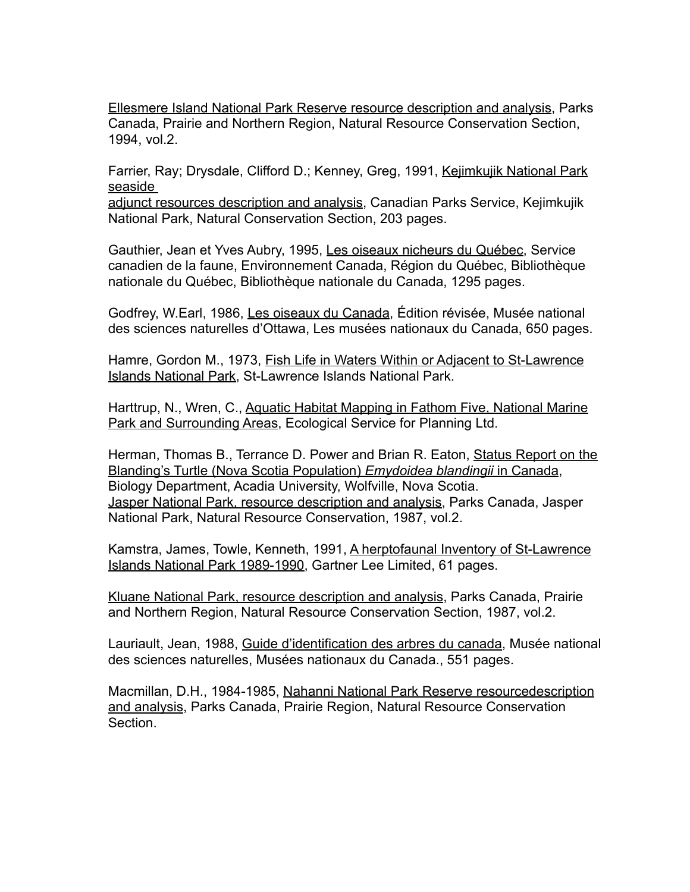Ellesmere Island National Park Reserve resource description and analysis, Parks Canada, Prairie and Northern Region, Natural Resource Conservation Section, 1994, vol.2.

Farrier, Ray; Drysdale, Clifford D.; Kenney, Greg, 1991, Kejimkujik National Park seaside

adjunct resources description and analysis, Canadian Parks Service, Kejimkujik National Park, Natural Conservation Section, 203 pages.

Gauthier, Jean et Yves Aubry, 1995, Les oiseaux nicheurs du Québec, Service canadien de la faune, Environnement Canada, Région du Québec, Bibliothèque nationale du Québec, Bibliothèque nationale du Canada, 1295 pages.

Godfrey, W.Earl, 1986, Les oiseaux du Canada, Édition révisée, Musée national des sciences naturelles d'Ottawa, Les musées nationaux du Canada, 650 pages.

Hamre, Gordon M., 1973, Fish Life in Waters Within or Adjacent to St-Lawrence Islands National Park, St-Lawrence Islands National Park.

Harttrup, N., Wren, C., Aquatic Habitat Mapping in Fathom Five, National Marine Park and Surrounding Areas, Ecological Service for Planning Ltd.

Herman, Thomas B., Terrance D. Power and Brian R. Eaton, Status Report on the Blanding's Turtle (Nova Scotia Population) *Emydoidea blandingii* in Canada, Biology Department, Acadia University, Wolfville, Nova Scotia. Jasper National Park, resource description and analysis, Parks Canada, Jasper National Park, Natural Resource Conservation, 1987, vol.2.

Kamstra, James, Towle, Kenneth, 1991, A herptofaunal Inventory of St-Lawrence Islands National Park 1989-1990, Gartner Lee Limited, 61 pages.

Kluane National Park, resource description and analysis, Parks Canada, Prairie and Northern Region, Natural Resource Conservation Section, 1987, vol.2.

Lauriault, Jean, 1988, Guide d'identification des arbres du canada, Musée national des sciences naturelles, Musées nationaux du Canada., 551 pages.

Macmillan, D.H., 1984-1985, Nahanni National Park Reserve resourcedescription and analysis, Parks Canada, Prairie Region, Natural Resource Conservation **Section**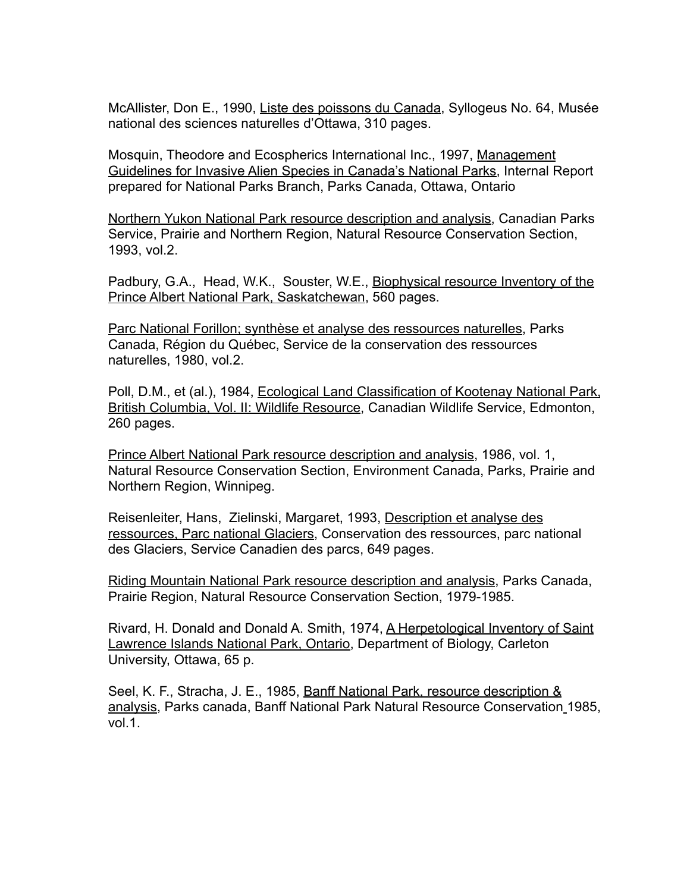McAllister, Don E., 1990, Liste des poissons du Canada, Syllogeus No. 64, Musée national des sciences naturelles d'Ottawa, 310 pages.

Mosquin, Theodore and Ecospherics International Inc., 1997, Management Guidelines for Invasive Alien Species in Canada's National Parks, Internal Report prepared for National Parks Branch, Parks Canada, Ottawa, Ontario

Northern Yukon National Park resource description and analysis, Canadian Parks Service, Prairie and Northern Region, Natural Resource Conservation Section, 1993, vol.2.

Padbury, G.A., Head, W.K., Souster, W.E., Biophysical resource Inventory of the Prince Albert National Park, Saskatchewan, 560 pages.

Parc National Forillon; synthèse et analyse des ressources naturelles, Parks Canada, Région du Québec, Service de la conservation des ressources naturelles, 1980, vol.2.

Poll, D.M., et (al.), 1984, Ecological Land Classification of Kootenay National Park, British Columbia, Vol. II: Wildlife Resource, Canadian Wildlife Service, Edmonton, 260 pages.

Prince Albert National Park resource description and analysis, 1986, vol. 1, Natural Resource Conservation Section, Environment Canada, Parks, Prairie and Northern Region, Winnipeg.

Reisenleiter, Hans, Zielinski, Margaret, 1993, Description et analyse des ressources, Parc national Glaciers, Conservation des ressources, parc national des Glaciers, Service Canadien des parcs, 649 pages.

Riding Mountain National Park resource description and analysis, Parks Canada, Prairie Region, Natural Resource Conservation Section, 1979-1985.

Rivard, H. Donald and Donald A. Smith, 1974, A Herpetological Inventory of Saint Lawrence Islands National Park, Ontario, Department of Biology, Carleton University, Ottawa, 65 p.

Seel, K. F., Stracha, J. E., 1985, Banff National Park, resource description & analysis, Parks canada, Banff National Park Natural Resource Conservation 1985, vol.1.